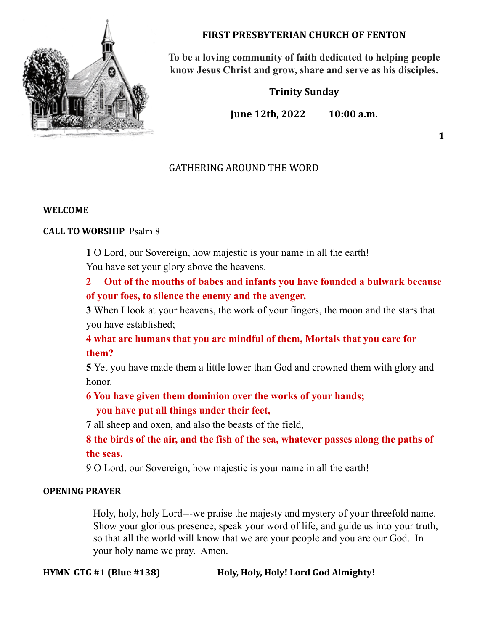

# **FIRST PRESBYTERIAN CHURCH OF FENTON**

**To be a loving community of faith dedicated to helping people know Jesus Christ and grow, share and serve as his disciples.**

**Trinity Sunday**

**June 12th, 2022 10:00 a.m.**

**1**

# GATHERING AROUND THE WORD

# **WELCOME**

# **CALL TO WORSHIP** Psalm 8

**1** O Lord, our Sovereign, how majestic is your name in all the earth! You have set your glory above the heavens.

**2 Out of the mouths of babes and infants you have founded a bulwark because of your foes, to silence the enemy and the avenger.**

**3** When I look at your heavens, the work of your fingers, the moon and the stars that you have established;

**4 what are humans that you are mindful of them, Mortals that you care for them?**

**5** Yet you have made them a little lower than God and crowned them with glory and honor.

# **6 You have given them dominion over the works of your hands; you have put all things under their feet,**

**7** all sheep and oxen, and also the beasts of the field,

**8 the birds of the air, and the fish of the sea, whatever passes along the paths of the seas.**

9 O Lord, our Sovereign, how majestic is your name in all the earth!

# **OPENING PRAYER**

Holy, holy, holy Lord---we praise the majesty and mystery of your threefold name. Show your glorious presence, speak your word of life, and guide us into your truth, so that all the world will know that we are your people and you are our God. In your holy name we pray. Amen.

**HYMN GTG #1 (Blue #138) Holy, Holy, Holy! Lord God Almighty!**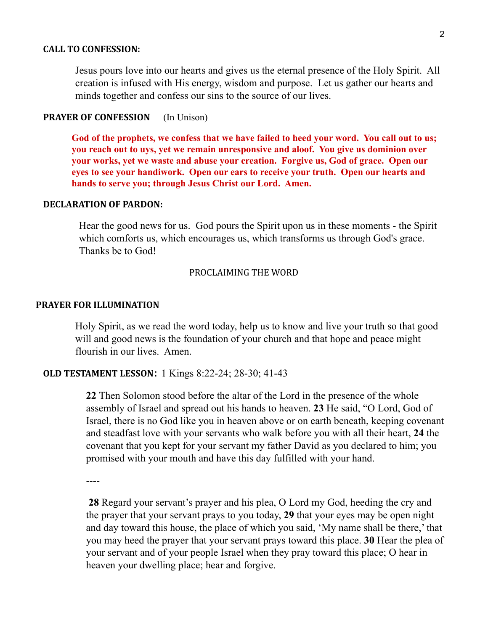#### **CALL TO CONFESSION:**

Jesus pours love into our hearts and gives us the eternal presence of the Holy Spirit. All creation is infused with His energy, wisdom and purpose. Let us gather our hearts and minds together and confess our sins to the source of our lives.

#### **PRAYER OF CONFESSION** (In Unison)

**God of the prophets, we confess that we have failed to heed your word. You call out to us; you reach out to uys, yet we remain unresponsive and aloof. You give us dominion over your works, yet we waste and abuse your creation. Forgive us, God of grace. Open our eyes to see your handiwork. Open our ears to receive your truth. Open our hearts and hands to serve you; through Jesus Christ our Lord. Amen.**

#### **DECLARATION OF PARDON:**

Hear the good news for us. God pours the Spirit upon us in these moments - the Spirit which comforts us, which encourages us, which transforms us through God's grace. Thanks be to God!

#### PROCLAIMING THE WORD

#### **PRAYER FOR ILLUMINATION**

Holy Spirit, as we read the word today, help us to know and live your truth so that good will and good news is the foundation of your church and that hope and peace might flourish in our lives. Amen.

#### **OLD TESTAMENT LESSON**: 1 Kings 8:22-24; 28-30; 41-43

**22** Then Solomon stood before the altar of the Lord in the presence of the whole assembly of Israel and spread out his hands to heaven. **23** He said, "O Lord, God of Israel, there is no God like you in heaven above or on earth beneath, keeping covenant and steadfast love with your servants who walk before you with all their heart, **24** the covenant that you kept for your servant my father David as you declared to him; you promised with your mouth and have this day fulfilled with your hand.

----

**28** Regard your servant's prayer and his plea, O Lord my God, heeding the cry and the prayer that your servant prays to you today, **29** that your eyes may be open night and day toward this house, the place of which you said, 'My name shall be there,' that you may heed the prayer that your servant prays toward this place. **30** Hear the plea of your servant and of your people Israel when they pray toward this place; O hear in heaven your dwelling place; hear and forgive.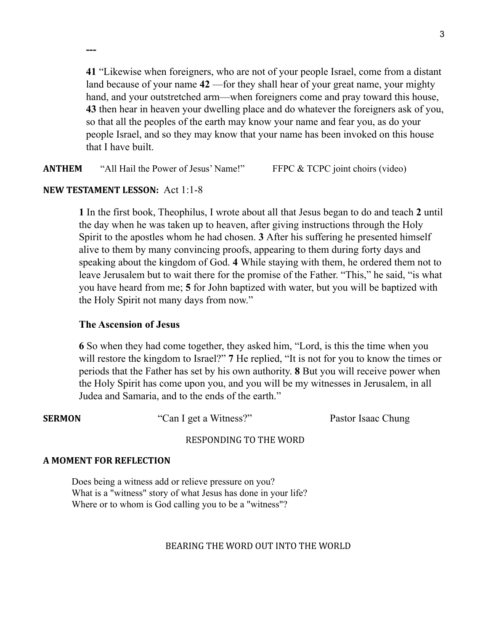**41** "Likewise when foreigners, who are not of your people Israel, come from a distant land because of your name **42** —for they shall hear of your great name, your mighty hand, and your outstretched arm—when foreigners come and pray toward this house, **43** then hear in heaven your dwelling place and do whatever the foreigners ask of you, so that all the peoples of the earth may know your name and fear you, as do your people Israel, and so they may know that your name has been invoked on this house that I have built.

**ANTHEM** "All Hail the Power of Jesus' Name!" FFPC & TCPC joint choirs (video)

# **NEW TESTAMENT LESSON:** Act 1:1-8

**---**

**1** In the first book, Theophilus, I wrote about all that Jesus began to do and teach **2** until the day when he was taken up to heaven, after giving instructions through the Holy Spirit to the apostles whom he had chosen. **3** After his suffering he presented himself alive to them by many convincing proofs, appearing to them during forty days and speaking about the kingdom of God. **4** While staying with them, he ordered them not to leave Jerusalem but to wait there for the promise of the Father. "This," he said, "is what you have heard from me; **5** for John baptized with water, but you will be baptized with the Holy Spirit not many days from now."

# **The Ascension of Jesus**

**6** So when they had come together, they asked him, "Lord, is this the time when you will restore the kingdom to Israel?" **7** He replied, "It is not for you to know the times or periods that the Father has set by his own authority. **8** But you will receive power when the Holy Spirit has come upon you, and you will be my witnesses in Jerusalem, in all Judea and Samaria, and to the ends of the earth."

**SERMON** "Can I get a Witness?" Pastor Isaac Chung

# RESPONDING TO THE WORD

# **A MOMENT FOR REFLECTION**

Does being a witness add or relieve pressure on you? What is a "witness" story of what Jesus has done in your life? Where or to whom is God calling you to be a "witness"?

# BEARING THE WORD OUT INTO THE WORLD